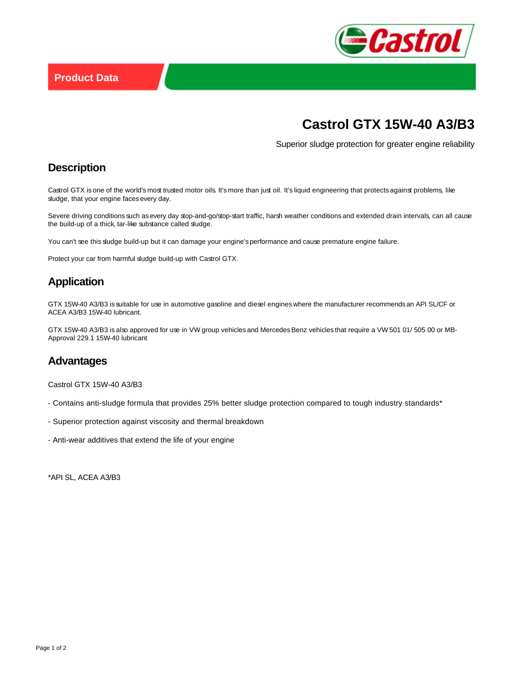

# **Castrol GTX 15W-40 A3/B3**

Superior sludge protection for greater engine reliability

## **Description**

Castrol GTX is one of the world's most trusted motor oils. It's more than just oil. It's liquid engineering that protects against problems, like sludge, that your engine faces every day.

Severe driving conditions such as every day stop-and-go/stop-start traffic, harsh weather conditions and extended drain intervals, can all cause the build-up of a thick, tar-like substance called sludge.

You can't see this sludge build-up but it can damage your engine's performance and cause premature engine failure.

Protect your car from harmful sludge build-up with Castrol GTX.

### **Application**

GTX 15W-40 A3/B3 is suitable for use in automotive gasoline and diesel engines where the manufacturer recommends an API SL/CF or ACEA A3/B3 15W-40 lubricant.

GTX 15W-40 A3/B3 is also approved for use in VW group vehicles and Mercedes Benz vehicles that require a VW 501 01/ 505 00 or MB-Approval 229.1 15W-40 lubricant

#### **Advantages**

Castrol GTX 15W-40 A3/B3

- Contains anti-sludge formula that provides 25% better sludge protection compared to tough industry standards\*
- Superior protection against viscosity and thermal breakdown
- Anti-wear additives that extend the life of your engine

\*API SL, ACEA A3/B3